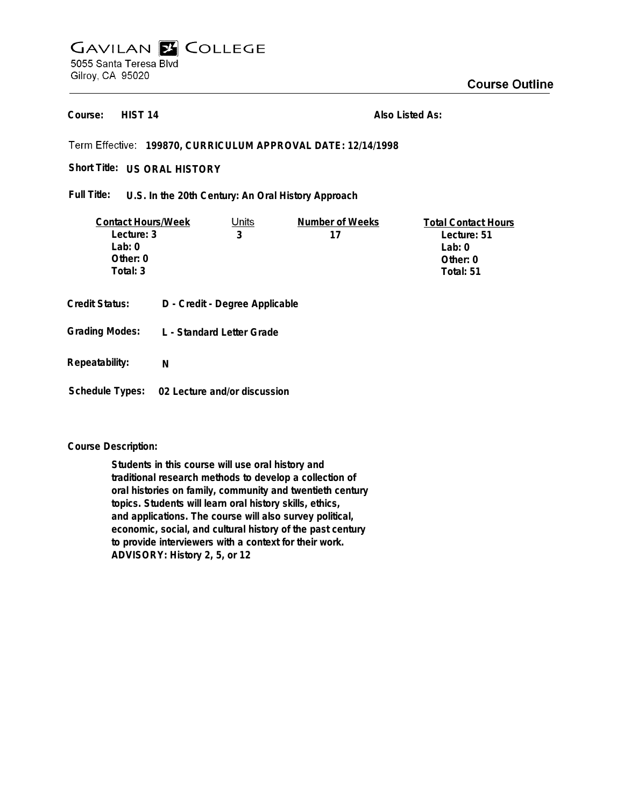## **GAVILAN E COLLEGE** 5055 Santa Teresa Blvd Gilroy, CA 95020

**HIST 14 Course:**

**Also Listed As:**

## **199870, CURRICULUM APPROVAL DATE: 12/14/1998**

Short Title: US ORAL HISTORY

**U.S. In the 20th Century: An Oral History Approach Full Title:**

| <b>Contact Hours/Week</b> |  | Units                          | Number of Weeks | <b>Total Contact Hours</b> |
|---------------------------|--|--------------------------------|-----------------|----------------------------|
| Lecture: 3                |  | 3                              | 17              | Lecture: 51                |
| Lab: $0$                  |  |                                |                 | Lab: $0$                   |
| Other: 0                  |  |                                |                 | Other: $0$                 |
| Total: 3                  |  |                                |                 | Total: 51                  |
| Credit Status:            |  | D - Credit - Degree Applicable |                 |                            |
|                           |  |                                |                 |                            |

- **L Standard Letter Grade Grading Modes:**
- **Repeatability: N**
- **Schedule Types: 02 Lecture and/or discussion**

## **Course Description:**

**Students in this course will use oral history and traditional research methods to develop a collection of oral histories on family, community and twentieth century topics. Students will learn oral history skills, ethics, and applications. The course will also survey political, economic, social, and cultural history of the past century to provide interviewers with a context for their work. ADVISORY: History 2, 5, or 12**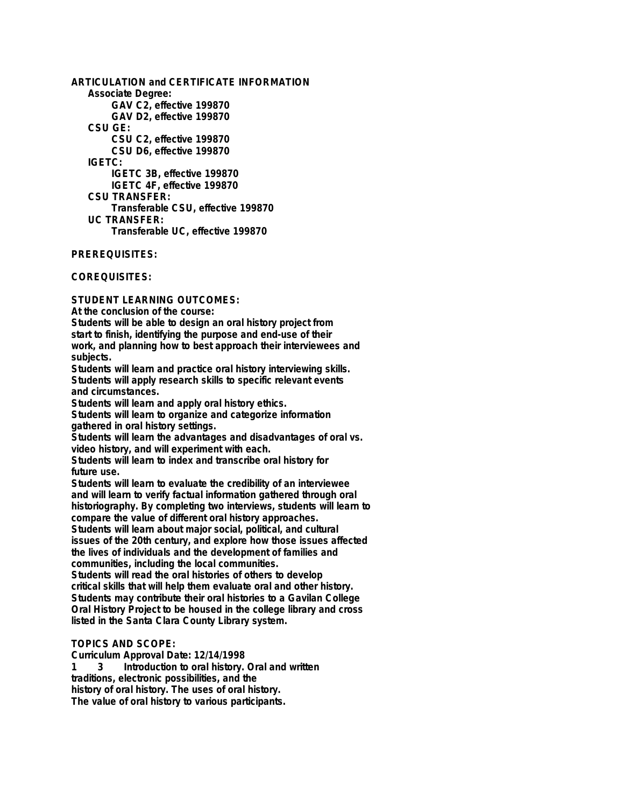**ARTICULATION and CERTIFICATE INFORMATION Associate Degree: GAV C2, effective 199870 GAV D2, effective 199870 CSU GE: CSU C2, effective 199870 CSU D6, effective 199870 IGETC: IGETC 3B, effective 199870 IGETC 4F, effective 199870 CSU TRANSFER: Transferable CSU, effective 199870 UC TRANSFER: Transferable UC, effective 199870**

**PREREQUISITES:**

**COREQUISITES:**

**STUDENT LEARNING OUTCOMES:**

**At the conclusion of the course:**

**Students will be able to design an oral history project from start to finish, identifying the purpose and end-use of their work, and planning how to best approach their interviewees and subjects.**

**Students will learn and practice oral history interviewing skills. Students will apply research skills to specific relevant events and circumstances.**

**Students will learn and apply oral history ethics. Students will learn to organize and categorize information gathered in oral history settings.**

**Students will learn the advantages and disadvantages of oral vs. video history, and will experiment with each.**

**Students will learn to index and transcribe oral history for future use.**

**Students will learn to evaluate the credibility of an interviewee and will learn to verify factual information gathered through oral historiography. By completing two interviews, students will learn to compare the value of different oral history approaches.**

**Students will learn about major social, political, and cultural issues of the 20th century, and explore how those issues affected the lives of individuals and the development of families and communities, including the local communities.**

**Students will read the oral histories of others to develop critical skills that will help them evaluate oral and other history. Students may contribute their oral histories to a Gavilan College Oral History Project to be housed in the college library and cross listed in the Santa Clara County Library system.**

## **TOPICS AND SCOPE:**

**Curriculum Approval Date: 12/14/1998**

**1 3 Introduction to oral history. Oral and written traditions, electronic possibilities, and the history of oral history. The uses of oral history. The value of oral history to various participants.**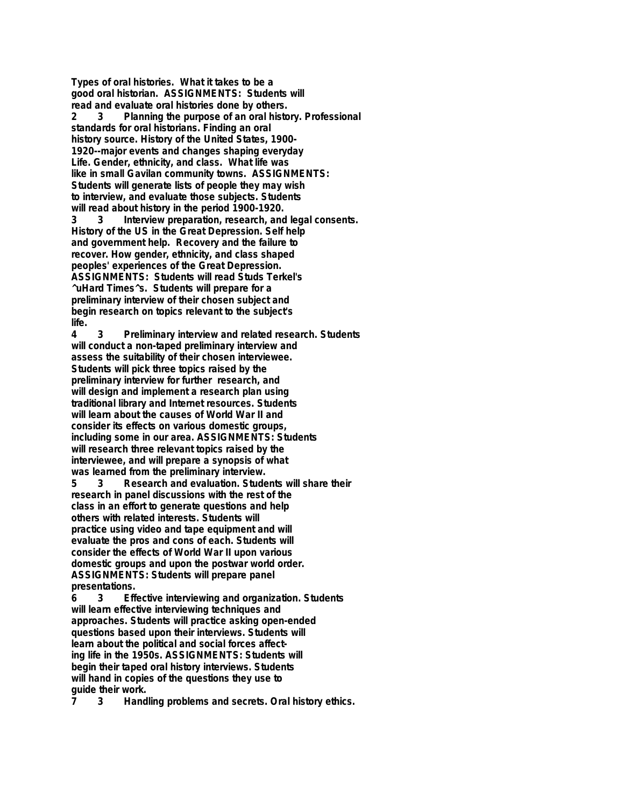**Types of oral histories. What it takes to be a good oral historian. ASSIGNMENTS: Students will read and evaluate oral histories done by others. 2 3 Planning the purpose of an oral history. Professional standards for oral historians. Finding an oral history source. History of the United States, 1900- 1920--major events and changes shaping everyday Life. Gender, ethnicity, and class. What life was like in small Gavilan community towns. ASSIGNMENTS: Students will generate lists of people they may wish to interview, and evaluate those subjects. Students will read about history in the period 1900-1920. 3 3 Interview preparation, research, and legal consents. History of the US in the Great Depression. Self help and government help. Recovery and the failure to recover. How gender, ethnicity, and class shaped peoples' experiences of the Great Depression. ASSIGNMENTS: Students will read Studs Terkel's ^uHard Times^s. Students will prepare for a preliminary interview of their chosen subject and begin research on topics relevant to the subject's life.**

**4 3 Preliminary interview and related research. Students will conduct a non-taped preliminary interview and assess the suitability of their chosen interviewee. Students will pick three topics raised by the preliminary interview for further research, and will design and implement a research plan using traditional library and Internet resources. Students will learn about the causes of World War II and consider its effects on various domestic groups, including some in our area. ASSIGNMENTS: Students will research three relevant topics raised by the interviewee, and will prepare a synopsis of what was learned from the preliminary interview.**

**5 3 Research and evaluation. Students will share their research in panel discussions with the rest of the class in an effort to generate questions and help others with related interests. Students will practice using video and tape equipment and will evaluate the pros and cons of each. Students will consider the effects of World War II upon various domestic groups and upon the postwar world order. ASSIGNMENTS: Students will prepare panel presentations.**

**6 3 Effective interviewing and organization. Students will learn effective interviewing techniques and approaches. Students will practice asking open-ended questions based upon their interviews. Students will learn about the political and social forces affecting life in the 1950s. ASSIGNMENTS: Students will begin their taped oral history interviews. Students will hand in copies of the questions they use to guide their work.**

**7 3 Handling problems and secrets. Oral history ethics.**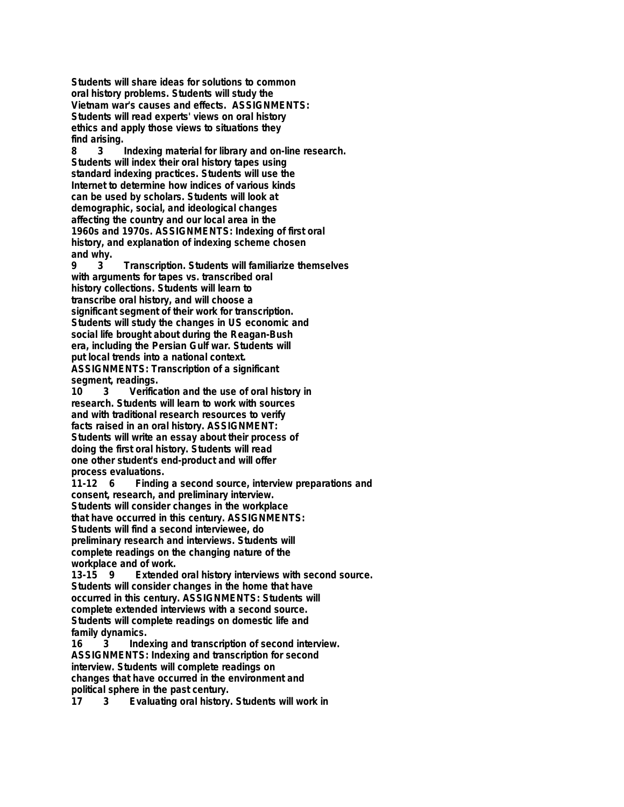**Students will share ideas for solutions to common oral history problems. Students will study the Vietnam war's causes and effects. ASSIGNMENTS: Students will read experts' views on oral history ethics and apply those views to situations they find arising.**

**8 3 Indexing material for library and on-line research. Students will index their oral history tapes using standard indexing practices. Students will use the Internet to determine how indices of various kinds can be used by scholars. Students will look at demographic, social, and ideological changes affecting the country and our local area in the 1960s and 1970s. ASSIGNMENTS: Indexing of first oral history, and explanation of indexing scheme chosen** and why.<br>9  $\frac{3}{3}$ 

**9 3 Transcription. Students will familiarize themselves with arguments for tapes vs. transcribed oral history collections. Students will learn to transcribe oral history, and will choose a significant segment of their work for transcription. Students will study the changes in US economic and social life brought about during the Reagan-Bush era, including the Persian Gulf war. Students will put local trends into a national context. ASSIGNMENTS: Transcription of a significant**

segment, readings.<br>10 3 Verifica **10 3 Verification and the use of oral history in research. Students will learn to work with sources and with traditional research resources to verify facts raised in an oral history. ASSIGNMENT: Students will write an essay about their process of doing the first oral history. Students will read one other student's end-product and will offer**

**process evaluations.** Finding a second source, interview preparations and **consent, research, and preliminary interview. Students will consider changes in the workplace that have occurred in this century. ASSIGNMENTS: Students will find a second interviewee, do preliminary research and interviews. Students will complete readings on the changing nature of the workplace and of work.**

**13-15 9 Extended oral history interviews with second source. Students will consider changes in the home that have occurred in this century. ASSIGNMENTS: Students will complete extended interviews with a second source. Students will complete readings on domestic life and family dynamics.**

**16 3 Indexing and transcription of second interview. ASSIGNMENTS: Indexing and transcription for second interview. Students will complete readings on changes that have occurred in the environment and political sphere in the past century.**

**17 3 Evaluating oral history. Students will work in**